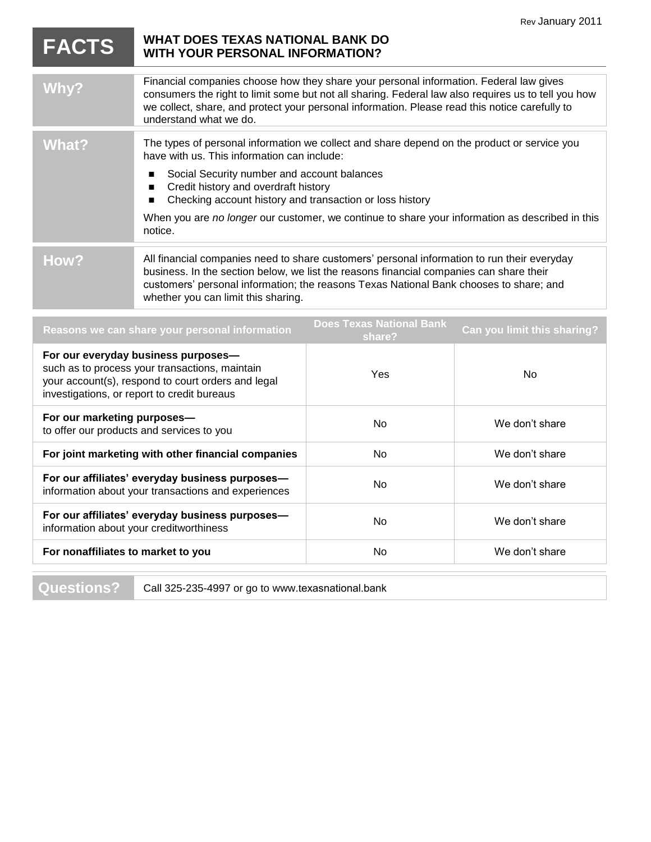|                                                                                                                                                                                            |                                                                                                                                                                                                                                                                                                                           |                                           | Rev January 2011            |
|--------------------------------------------------------------------------------------------------------------------------------------------------------------------------------------------|---------------------------------------------------------------------------------------------------------------------------------------------------------------------------------------------------------------------------------------------------------------------------------------------------------------------------|-------------------------------------------|-----------------------------|
| <b>FACTS</b>                                                                                                                                                                               | <b>WHAT DOES TEXAS NATIONAL BANK DO</b><br><b>WITH YOUR PERSONAL INFORMATION?</b>                                                                                                                                                                                                                                         |                                           |                             |
| <b>Why?</b>                                                                                                                                                                                | Financial companies choose how they share your personal information. Federal law gives<br>consumers the right to limit some but not all sharing. Federal law also requires us to tell you how<br>we collect, share, and protect your personal information. Please read this notice carefully to<br>understand what we do. |                                           |                             |
| <b>What?</b>                                                                                                                                                                               | The types of personal information we collect and share depend on the product or service you<br>have with us. This information can include:                                                                                                                                                                                |                                           |                             |
|                                                                                                                                                                                            | Social Security number and account balances<br>п<br>Credit history and overdraft history<br>$\blacksquare$<br>Checking account history and transaction or loss history<br>■                                                                                                                                               |                                           |                             |
|                                                                                                                                                                                            | When you are no longer our customer, we continue to share your information as described in this<br>notice.                                                                                                                                                                                                                |                                           |                             |
| How?                                                                                                                                                                                       | All financial companies need to share customers' personal information to run their everyday<br>business. In the section below, we list the reasons financial companies can share their<br>customers' personal information; the reasons Texas National Bank chooses to share; and<br>whether you can limit this sharing.   |                                           |                             |
| Reasons we can share your personal information                                                                                                                                             |                                                                                                                                                                                                                                                                                                                           | <b>Does Texas National Bank</b><br>share? | Can you limit this sharing? |
| For our everyday business purposes-<br>such as to process your transactions, maintain<br>your account(s), respond to court orders and legal<br>investigations, or report to credit bureaus |                                                                                                                                                                                                                                                                                                                           | Yes                                       | <b>No</b>                   |
| For our marketing purposes-                                                                                                                                                                |                                                                                                                                                                                                                                                                                                                           |                                           |                             |

| For our marketing purposes-<br>to offer our products and services to you                               | No. | We don't share |
|--------------------------------------------------------------------------------------------------------|-----|----------------|
| For joint marketing with other financial companies                                                     | No. | We don't share |
| For our affiliates' everyday business purposes-<br>information about your transactions and experiences | No. | We don't share |
| For our affiliates' everyday business purposes-<br>information about your creditworthiness             | No  | We don't share |
| For nonaffiliates to market to you                                                                     | No  | We don't share |

**Questions?** Call 325-235-4997 or go to www.texasnational.bank